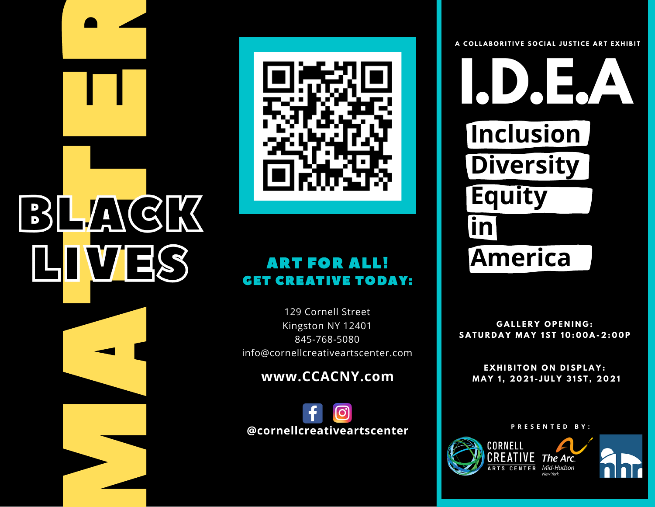# MAGK



# ART FOR ALL! **GET CREATIVE TODAY:**

129 Cornell Street Kingston NY 12401 [8](tel:845-768-5080)45-768-5080 info@cornellcreativeartscenter.com

**w w w . C C A C N Y . c o m**

@cornellcreativeartscenter

A COLLABORITIVE SOCIAL JUSTICE ART EXHIBIT

**America Inclusion Diversity Equity inclusion**<br> **Diversity**<br> **Equity**<br> **in** 

**GALLERY OPENING:** SATURDAY MAY 1ST 10:00A-2:00P

**GALLERY OPENING:**<br>**AY MAY 1ST 10:00A<br><b>HIBITON ON DISPLA**<br>1, 2021-JULY 31ST,<br>PRESENTED BY: EXHIBITON ON DISPLAY: **M A Y 1 , 2 0 2 1 - J U L Y 3 1 S T , 2 0 2 1**